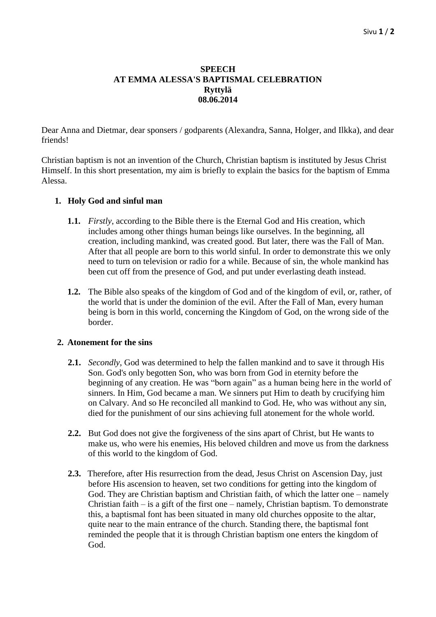## **SPEECH AT EMMA ALESSA'S BAPTISMAL CELEBRATION Ryttylä 08.06.2014**

Dear Anna and Dietmar, dear sponsers / godparents (Alexandra, Sanna, Holger, and Ilkka), and dear friends!

Christian baptism is not an invention of the Church, Christian baptism is instituted by Jesus Christ Himself. In this short presentation, my aim is briefly to explain the basics for the baptism of Emma Alessa.

## **1. Holy God and sinful man**

- **1.1.** *Firstly*, according to the Bible there is the Eternal God and His creation, which includes among other things human beings like ourselves. In the beginning, all creation, including mankind, was created good. But later, there was the Fall of Man. After that all people are born to this world sinful. In order to demonstrate this we only need to turn on television or radio for a while. Because of sin, the whole mankind has been cut off from the presence of God, and put under everlasting death instead.
- **1.2.** The Bible also speaks of the kingdom of God and of the kingdom of evil, or, rather, of the world that is under the dominion of the evil. After the Fall of Man, every human being is born in this world, concerning the Kingdom of God, on the wrong side of the border.

## **2. Atonement for the sins**

- **2.1.** *Secondly*, God was determined to help the fallen mankind and to save it through His Son. God's only begotten Son, who was born from God in eternity before the beginning of any creation. He was "born again" as a human being here in the world of sinners. In Him, God became a man. We sinners put Him to death by crucifying him on Calvary. And so He reconciled all mankind to God. He, who was without any sin, died for the punishment of our sins achieving full atonement for the whole world.
- **2.2.** But God does not give the forgiveness of the sins apart of Christ, but He wants to make us, who were his enemies, His beloved children and move us from the darkness of this world to the kingdom of God.
- **2.3.** Therefore, after His resurrection from the dead, Jesus Christ on Ascension Day, just before His ascension to heaven, set two conditions for getting into the kingdom of God. They are Christian baptism and Christian faith, of which the latter one – namely Christian faith  $-$  is a gift of the first one  $-$  namely, Christian baptism. To demonstrate this, a baptismal font has been situated in many old churches opposite to the altar, quite near to the main entrance of the church. Standing there, the baptismal font reminded the people that it is through Christian baptism one enters the kingdom of God.